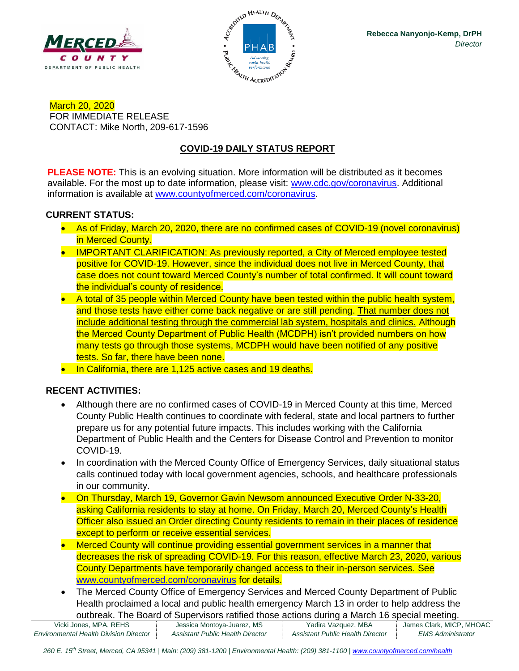



March 20, 2020 FOR IMMEDIATE RELEASE CONTACT: Mike North, 209-617-1596

# **COVID-19 DAILY STATUS REPORT**

**PLEASE NOTE:** This is an evolving situation. More information will be distributed as it becomes available. For the most up to date information, please visit: [www.cdc.gov/coronavirus.](http://www.cdc.gov/coronavirus) Additional information is available at [www.countyofmerced.com/coronavirus.](http://www.countyofmerced.com/coronavirus)

## **CURRENT STATUS:**

- As of Friday, March 20, 2020, there are no confirmed cases of COVID-19 (novel coronavirus) in Merced County.
- IMPORTANT CLARIFICATION: As previously reported, a City of Merced employee tested positive for COVID-19. However, since the individual does not live in Merced County, that case does not count toward Merced County's number of total confirmed. It will count toward the individual's county of residence.
- A total of 35 people within Merced County have been tested within the public health system, and those tests have either come back negative or are still pending. That number does not include additional testing through the commercial lab system, hospitals and clinics. Although the Merced County Department of Public Health (MCDPH) isn't provided numbers on how many tests go through those systems, MCDPH would have been notified of any positive tests. So far, there have been none.
- In California, there are 1,125 active cases and 19 deaths.

## **RECENT ACTIVITIES:**

- Although there are no confirmed cases of COVID-19 in Merced County at this time, Merced County Public Health continues to coordinate with federal, state and local partners to further prepare us for any potential future impacts. This includes working with the California Department of Public Health and the Centers for Disease Control and Prevention to monitor COVID-19.
- In coordination with the Merced County Office of Emergency Services, daily situational status calls continued today with local government agencies, schools, and healthcare professionals in our community.
- On Thursday, March 19, Governor Gavin Newsom announced Executive Order N-33-20, asking California residents to stay at home. On Friday, March 20, Merced County's Health Officer also issued an Order directing County residents to remain in their places of residence except to perform or receive essential services.
- Merced County will continue providing essential government services in a manner that decreases the risk of spreading COVID-19. For this reason, effective March 23, 2020, various County Departments have temporarily changed access to their in-person services. See [www.countyofmerced.com/coronavirus](http://www.countyofmerced.com/coronavirus) for details.
- The Merced County Office of Emergency Services and Merced County Department of Public Health proclaimed a local and public health emergency March 13 in order to help address the outbreak. The Board of Supervisors ratified those actions during a March 16 special meeting.